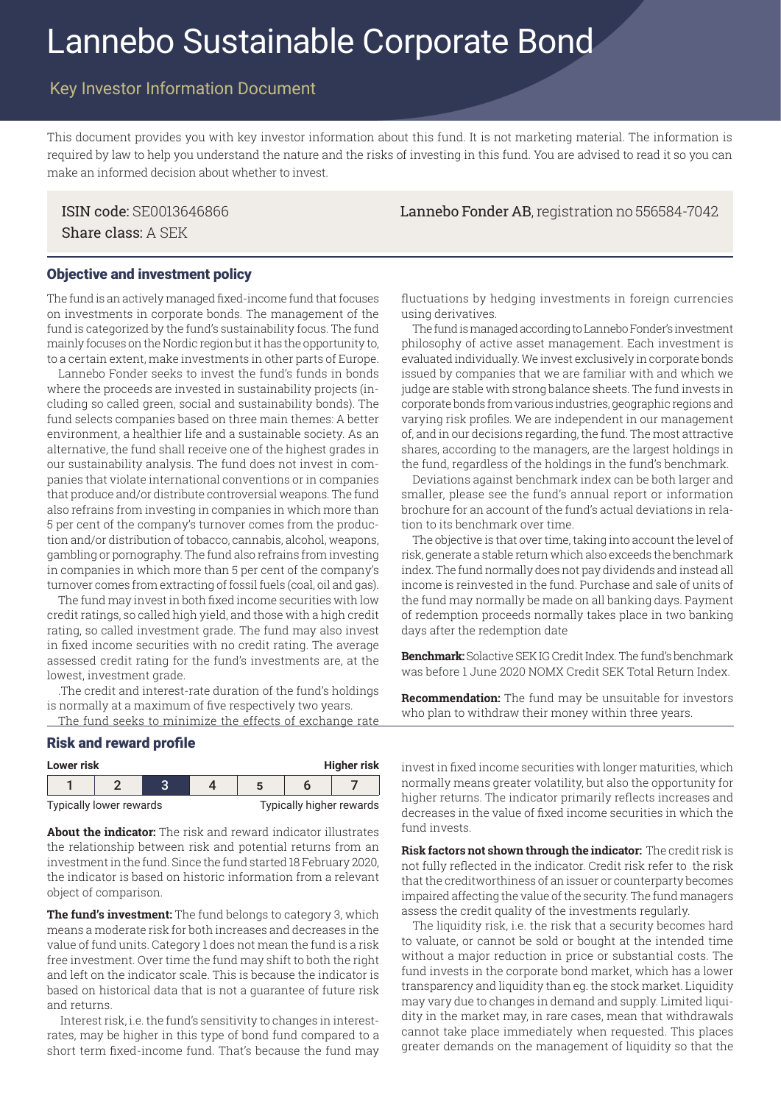# Lannebo Sustainable Corporate Bond

# Key Investor Information Document

This document provides you with key investor information about this fund. It is not marketing material. The information is required by law to help you understand the nature and the risks of investing in this fund. You are advised to read it so you can make an informed decision about whether to invest.

Share class: A SEK

ISIN code: SE0013646866 Lannebo Fonder AB, registration no 556584-7042

## Objective and investment policy

The fund is an actively managed fixed-income fund that focuses on investments in corporate bonds. The management of the fund is categorized by the fund's sustainability focus. The fund mainly focuses on the Nordic region but it has the opportunity to, to a certain extent, make investments in other parts of Europe.

Lannebo Fonder seeks to invest the fund's funds in bonds where the proceeds are invested in sustainability projects (including so called green, social and sustainability bonds). The fund selects companies based on three main themes: A better environment, a healthier life and a sustainable society. As an alternative, the fund shall receive one of the highest grades in our sustainability analysis. The fund does not invest in companies that violate international conventions or in companies that produce and/or distribute controversial weapons. The fund also refrains from investing in companies in which more than 5 per cent of the company's turnover comes from the production and/or distribution of tobacco, cannabis, alcohol, weapons, gambling or pornography. The fund also refrains from investing in companies in which more than 5 per cent of the company's turnover comes from extracting of fossil fuels (coal, oil and gas).

The fund may invest in both fixed income securities with low credit ratings, so called high yield, and those with a high credit rating, so called investment grade. The fund may also invest in fixed income securities with no credit rating. The average assessed credit rating for the fund's investments are, at the lowest, investment grade.

.The credit and interest-rate duration of the fund's holdings is normally at a maximum of five respectively two years.

The fund seeks to minimize the effects of exchange rate

#### Risk and reward profile

| <b>Higher risk</b><br>Lower risk |  |     |  |  |  |  |
|----------------------------------|--|-----|--|--|--|--|
|                                  |  | ◠   |  |  |  |  |
| .<br>$\sim$                      |  | . . |  |  |  |  |

Typically lower rewards Typically higher rewards

**About the indicator:** The risk and reward indicator illustrates the relationship between risk and potential returns from an investment in the fund. Since the fund started 18 February 2020, the indicator is based on historic information from a relevant object of comparison.

**The fund's investment:** The fund belongs to category 3, which means a moderate risk for both increases and decreases in the value of fund units. Category 1 does not mean the fund is a risk free investment. Over time the fund may shift to both the right and left on the indicator scale. This is because the indicator is based on historical data that is not a guarantee of future risk and returns.

 Interest risk, i.e. the fund's sensitivity to changes in interestrates, may be higher in this type of bond fund compared to a short term fixed-income fund. That's because the fund may fluctuations by hedging investments in foreign currencies using derivatives.

The fund is managed according to Lannebo Fonder's investment philosophy of active asset management. Each investment is evaluated individually. We invest exclusively in corporate bonds issued by companies that we are familiar with and which we judge are stable with strong balance sheets. The fund invests in corporate bonds from various industries, geographic regions and varying risk profiles. We are independent in our management of, and in our decisions regarding, the fund. The most attractive shares, according to the managers, are the largest holdings in the fund, regardless of the holdings in the fund's benchmark.

Deviations against benchmark index can be both larger and smaller, please see the fund's annual report or information brochure for an account of the fund's actual deviations in relation to its benchmark over time.

The objective is that over time, taking into account the level of risk, generate a stable return which also exceeds the benchmark index. The fund normally does not pay dividends and instead all income is reinvested in the fund. Purchase and sale of units of the fund may normally be made on all banking days. Payment of redemption proceeds normally takes place in two banking days after the redemption date

**Benchmark:** Solactive SEK IG Credit Index. The fund's benchmark was before 1 June 2020 NOMX Credit SEK Total Return Index.

**Recommendation:** The fund may be unsuitable for investors who plan to withdraw their money within three years.

invest in fixed income securities with longer maturities, which normally means greater volatility, but also the opportunity for higher returns. The indicator primarily reflects increases and decreases in the value of fixed income securities in which the fund invests.

**Risk factors not shown through the indicator:** The credit risk is not fully reflected in the indicator. Credit risk refer to the risk that the creditworthiness of an issuer or counterparty becomes impaired affecting the value of the security. The fund managers assess the credit quality of the investments regularly.

The liquidity risk, i.e. the risk that a security becomes hard to valuate, or cannot be sold or bought at the intended time without a major reduction in price or substantial costs. The fund invests in the corporate bond market, which has a lower transparency and liquidity than eg. the stock market. Liquidity may vary due to changes in demand and supply. Limited liquidity in the market may, in rare cases, mean that withdrawals cannot take place immediately when requested. This places greater demands on the management of liquidity so that the